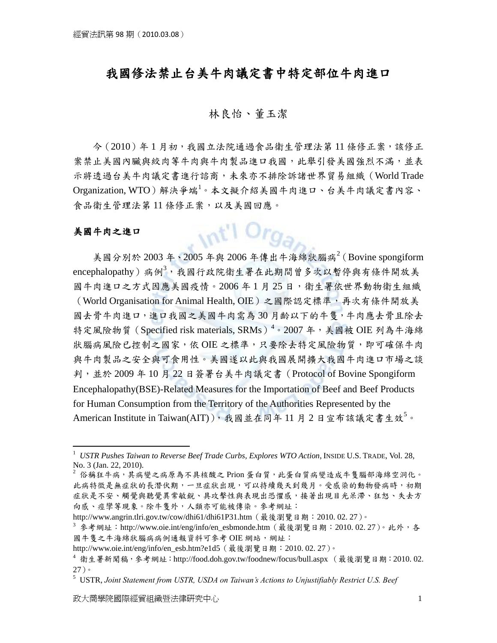# 我國修法禁止台美牛肉議定書中特定部位牛肉進口

## 林良怡、董玉潔

 今(2010)年 1 月初,我國立法院通過食品衛生管理法第 11 條修正案,該修正 案禁止美國內臟與絞肉等牛肉與牛肉製品進口我國,此舉引發美國強烈不滿,並表 示將透過台美牛肉議定書進行諮商,未來亦不排除訴諸世界貿易組織(World Trade Organization, WTO)解決爭端<sup>1</sup>。本文擬介紹美國牛肉進口、台美牛肉議定書內容、 食品衛生管理法第11 條修正案,以及美國回應。

 $int$  Org<sub>a</sub>

#### 美國牛肉之進口

 $\overline{a}$ 

美國分別於 2003年、2005年與 2006年傳出牛海綿狀腦病 $2$ (Bovine spongiform encephalopathy)病例<sup>3,</sup>我國行政院衛生署在此期間曾多次以暫停與有條件開放美 國牛肉進口之方式因應美國疫情。2006年1月25日,衛生署依世界動物衛生組織 (World Organisation for Animal Health, OIE)之國際認定標準,再次有條件開放美 國去骨牛肉進口,進口我國之美國牛肉需為30月齡以下的牛隻,牛肉應去骨且除去 特定風險物質 (Specified risk materials, SRMs)<sup>4</sup>。2007年,美國被 OIE 列為牛海綿 狀腦病風險已控制之國家,依OIE 之標準,只要除去特定風險物質,即可確保牛肉 與牛肉製品之安全與可食用性。美國遂以此與我國展開擴大我國牛肉進口市場之談 判,並於 2009 年 10 月 22 日簽署台美牛肉議定書(Protocol of Bovine Spongiform Encephalopathy(BSE)-Related Measures for the Importation of Beef and Beef Products for Human Consumption from the Territory of the Authorities Represented by the American Institute in Taiwan(AIT)),我國並在同年11月2日宣布該議定書生效5。

<sup>1</sup> *USTR Pushes Taiwan to Reverse Beef Trade Curbs, Explores WTO Action*, INSIDE U.S. TRADE, Vol. 28, No. 3 (Jan. 22, 2010).

 $^2$  俗稱狂牛病,其病變之病原為不具核酸之 Prion 蛋白質,此蛋白質病變造成牛隻腦部海綿空洞化。 此病特徵是無症狀的長潛伏期,一旦症狀出現,可以持續幾天到幾月。受感染的動物發病時,初期 症狀是不安、觸覺與聽覺異常敏銳、具攻擊性與表現出恐懼感,接著出現目光呆滯、狂怒、失去方 向感、痙孿等現象。除牛隻外,人類亦可能被傳染。參考網址:

http://www.angrin.tlri.gov.tw/cow/dhi61/dhi61P31.htm (最後瀏覽日期:2010. 02. 27)。

 $^3$  參考網址:http://www.oie.int/eng/info/en\_esbmonde.htm ( 最後瀏覽日期:2010. 02. 27 )。此外,各 國牛售之牛海綿狀腦病病例通報資料可參考 OIE 網站, 網址:

http://www.oie.int/eng/info/en\_esb.htm?e1d5(最後瀏覽日期: 2010. 02. 27)。

<sup>4</sup> 衛生署新聞稿,參考網址:http://food.doh.gov.tw/foodnew/focus/bull.aspx (最後瀏覽日期:2010. 02. 27)。

<sup>5</sup> USTR, *Joint Statement from USTR, USDA on Taiwan's Actions to Unjustifiably Restrict U.S. Beef*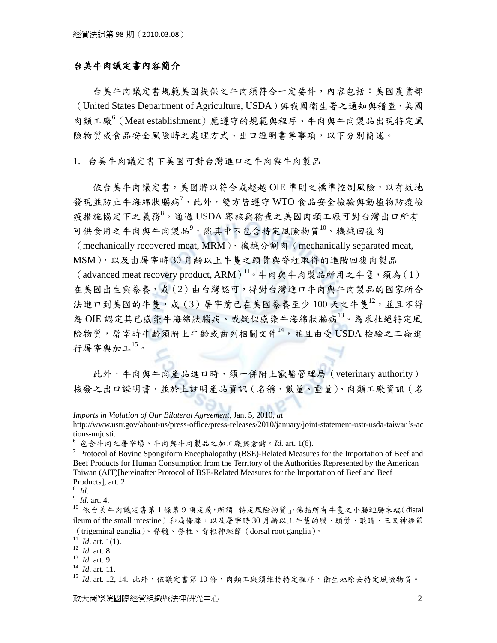### 台美牛肉議定書內容簡介

 台美牛肉議定書規範美國提供之牛肉須符合一定要件,內容包括:美國農業部 (United States Department of Agriculture, USDA)與我國衛生署之通知與稽查、美國 肉類工廠<sup>6</sup>(Meat establishment)應遵守的規範與程序、牛肉與牛肉製品出現特定風 險物質或食品安全風險時之處理方式、出口證明書等事項,以下分別簡述。

1. 台美牛肉議定書下美國可對台灣進口之牛肉與牛肉製品

依台美牛肉議定書,美國將以符合或超越OIE 準則之標準控制風險,以有效地 發現並防止牛海綿狀腦病<sup>7,</sup>此外,雙方皆遵守 WTO 食品安全檢驗與動植物防疫檢 疫措施協定下之義務<sup>8。</sup>通過 USDA 審核與稽查之美國肉類工廠可對台灣出口所有 可供食用之牛肉與牛肉製品<sup>9</sup>,然其中不包含特定風險物質<sup>10</sup>、機械回復肉 (mechanically recovered meat, MRM)、機械分割肉(mechanically separated meat, MSM),以及由屠宰時 30 月齡以上牛隻之頭骨與脊柱取得的進階回復肉製品 (advanced meat recovery product, ARM) $^{11}$ 。牛肉與牛肉製品所用之牛隻, 須為(1) 在美國出生與豢養,或(2)由台灣認可,得對台灣進口牛肉與牛肉製品的國家所合 法進口到美國的牛隻,或(3)屠宰前已在美國豢養至少100天之牛隻12,並且不得 為 OIE 認定其已感染牛海綿狀腦病、或疑似感染牛海綿狀腦病<sup>13</sup>。為求杜絕特定風 險物質,屠宰時牛齡須附上牛齡或齒列相關文件<sup>14</sup>,並且由受 USDA 檢驗之工廠進 行屠宰與加工<sup>15</sup>。

 此外,牛肉與牛肉產品進口時,須一併附上獸醫管理局(veterinary authority) 核發之出口證明書,並於上註明產品資訊(名稱、數量、重量)、肉類工廠資訊(名

8 *Id*.

 $\overline{a}$ 

9 *Id*. art. 4.

*Imports in Violation of Our Bilateral Agreement*, Jan. 5, 2010, *at*

http://www.ustr.gov/about-us/press-office/press-releases/2010/january/joint-statement-ustr-usda-taiwan's-ac tions-unjusti.

<sup>6</sup> 包含牛肉之屠宰場、牛肉與牛肉製品之加工廠與倉儲。*Id*. art. 1(6).

<sup>&</sup>lt;sup>7</sup> Protocol of Bovine Spongiform Encephalopathy (BSE)-Related Measures for the Importation of Beef and Beef Products for Human Consumption from the Territory of the Authorities Represented by the American Taiwan (AIT)[hereinafter Protocol of BSE-Related Measures for the Importation of Beef and Beef Products], art. 2.

<sup>10</sup> 依台美牛肉議定書第 1 條第 9 項定義,所謂「特定風險物質」,係指所有牛隻之小腸迴腸末端(distal ileum of the small intestine)和扁條腺,以及屠宰時 30 月齡以上牛隻的腦、頭骨、眼睛、三叉神經節 (trigeminal ganglia)、脊髓、脊柱、背根神經節(dorsal root ganglia)。

<sup>11</sup> *Id*. art. 1(1).

<sup>12</sup> *Id*. art. 8.

<sup>13</sup> *Id*. art. 9.

<sup>14</sup> *Id*. art. 11.

<sup>15</sup> *Id.* art. 12, 14. 此外,依議定書第10條,肉類工廠須維持特定程序,衛生地除去特定風險物質。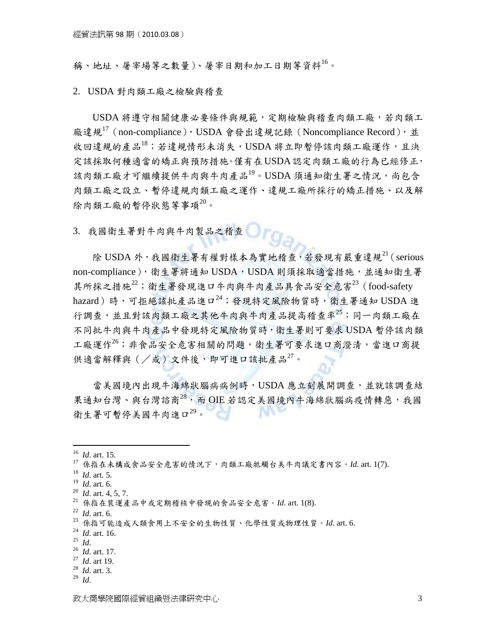稱、地址、屠宰場等之數量)、屠宰日期和加工日期等資料<sup>16</sup>。

2. USDA 對肉類工廠之檢驗與稽查

 USDA 將遵守相關健康必要條件與規範,定期檢驗與稽查肉類工廠,若肉類工 廠違規<sup>17</sup> (non-compliance), USDA 會發出違規記錄 (Noncompliance Record), 並 收回違規的產品<sup>18</sup>;若違規情形未消失,USDA 將立即暫停該肉類工廠運作,且決 定該採取何種適當的矯正與預防措施。僅有在USDA認定肉類工廠的行為已經修正, 該肉類工廠才可繼續提供牛肉與牛肉產品19。USDA 須通知衛生署之情況,尚包含 肉類工廠之設立、暫停違規肉類工廠之運作、違規工廠所採行的矯正措施、以及解 除肉類工廠的暫停狀態等事項20。

3. 我國衛生署對牛肉與牛肉製品之稽查

除 USDA 外,我國衛生署有權對樣本為實地稽查,若發現有嚴重違規 $^{21}$  (serious non-compliance),衛生署將通知 USDA, USDA 則須採取適當措施,並通知衛生署 其所採之措施 $^{22}$ ; 衛生署發現進口牛肉與牛肉產品具食品安全危害 $^{23}$  (food-safety hazard)時,可拒絕該批產品進口 $^{24}$ ;發現特定風險物質時,衛生署通知 USDA 進 行調查,並且對該肉類工廠之其他牛肉與牛肉產品提高稽查率<sup>25</sup>;同一肉類工廠在 不同批牛肉與牛肉產品中發現特定風險物質時,衛生署則可要求 USDA 暫停該肉類 工廠運作<sup>26</sup>;非食品安全危害相關的問題,衛生署可要求進口商澄清,當進口商提 供適當解釋與  $(\angle$ 或) 文件後, 即可進口該批產品 $^{27}$ 。

 當美國境內出現牛海綿狀腦病病例時,USDA 應立刻展開調查,並就該調查結 果通知台灣、與台灣諮商28,而 OIE 若認定美國境內牛海綿狀腦病疫情轉惡,我國 NN 衛生署可暫停美國牛肉進口29。

 $\overline{a}$ 

<sup>25</sup> *Id*.

- <sup>28</sup> *Id*. art. 3.
- <sup>29</sup> *Id*.

<sup>16</sup> *Id*. art. 15.

<sup>17</sup> 係指在未構成食品安全危害的情況下,肉類工廠牴觸台美牛肉議定書內容。*Id*. art. 1(7).

<sup>18</sup> *Id*. art. 5.

<sup>19</sup> *Id*. art. 6.

<sup>20</sup> *Id*. art. 4, 5, 7.

<sup>21</sup> 係指在裝運產品中或定期稽核中發現的食品安全危害。*Id*. art. 1(8).

<sup>22</sup> *Id*. art. 6.

<sup>23</sup> 係指可能造成人類食用上不安全的生物性質、化學性質或物理性質。*Id*. art. 6.

<sup>24</sup> *Id*. art. 16.

<sup>26</sup> *Id*. art. 17.

<sup>27</sup> *Id*. art 19.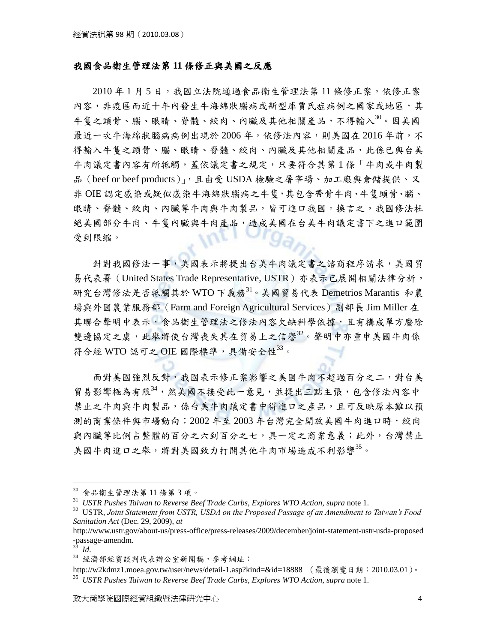#### 我國食品衛生管理法第 **11** 條修正與美國之反應

2010年1月5日,我國立法院通過食品衛生管理法第11條修正案。依修正案 內容,非疫區而近十年內發生牛海綿狀腦病或新型庫賈氏症病例之國家或地區,其 牛隻之頭骨、腦、眼睛、脊髓、絞肉、內臟及其他相關產品,不得輸入30。因美國 最近一次牛海綿狀腦病病例出現於 2006年,依修法內容,則美國在 2016年前,不 得輸入牛隻之頭骨、腦、眼睛、脊髓、絞肉、內臟及其他相關產品,此係已與台美 牛肉議定書內容有所牴觸,蓋依議定書之規定,只要符合其第1條「牛肉或牛肉製 品(beef or beef products)」,且由受 USDA 檢驗之屠宰場、加工廠與倉儲提供、又 非 OIE 認定感染或疑似感染牛海綿狀腦病之牛隻,其包含帶骨牛肉、牛隻頭骨、腦、 眼睛、脊髓、絞肉、內臟等牛肉與牛肉製品,皆可進口我國。換言之,我國修法杜 絕美國部分牛肉、牛隻內臟與牛肉產品,造成美國在台美牛肉議定書下之進口範圍 受到限縮。

針對我國修法一事,美國表示將提出台美牛肉議定書之諮商程序請求,美國貿 易代表署 (United States Trade Representative, USTR) 亦表示已展開相關法律分析, 研究台灣修法是否牴觸其於 WTO 下義務<sup>31</sup>。美國貿易代表 Demetrios Marantis 和農 場與外國農業服務部(Farm and Foreign Agricultural Services)副部長 Jim Miller 在 其聯合聲明中表示,食品衛生管理法之修法內容欠缺科學依據,且有構成單方廢除 等邊協定之盧,此舉將使台灣喪失其在留易上之信譽32。聲明中亦重申美國牛肉係 符合經 WTO 認可之 OIE 國際標準,具備安全性33。

 面對美國強烈反對,我國表示修正案影響之美國牛肉不超過百分之二,對台美 貿易影響極為有限<sup>34</sup>,然美國不接受此一意見,並提出三點主張,包含修法內容中 禁止之牛肉與牛肉製品,係台美牛肉議定書中得進口之產品,且可反映原本難以預 測的商業條件與市場動向;2002 年至 2003 年台灣完全開放美國牛肉進口時,絞肉 與內臟等比例占整體的百分之六到百分之七,具一定之商業意義;此外,台灣禁止 美國牛肉進口之舉,將對美國致力打開其他牛肉市場造成不利影響<sup>35</sup>。

 $\overline{a}$ 

<sup>30</sup> 食品衛生管理法第 11 條第 3 項。

<sup>31</sup> *USTR Pushes Taiwan to Reverse Beef Trade Curbs, Explores WTO Action*, *supra* note 1.

<sup>32</sup> USTR, *Joint Statement from USTR, USDA on the Proposed Passage of an Amendment to Taiwan's Food Sanitation Act* (Dec. 29, 2009), *at* 

http://www.ustr.gov/about-us/press-office/press-releases/2009/december/joint-statement-ustr-usda-proposed -passage-amendm.

<sup>33</sup> *Id*.

<sup>34</sup> 經濟部經貿談判代表辦公室新聞稿,參考網址:

http://w2kdmz1.moea.gov.tw/user/news/detail-1.asp?kind=&id=18888 (最後瀏覽日期: 2010.03.01)。 <sup>35</sup> *USTR Pushes Taiwan to Reverse Beef Trade Curbs, Explores WTO Action*, *supra* note 1.